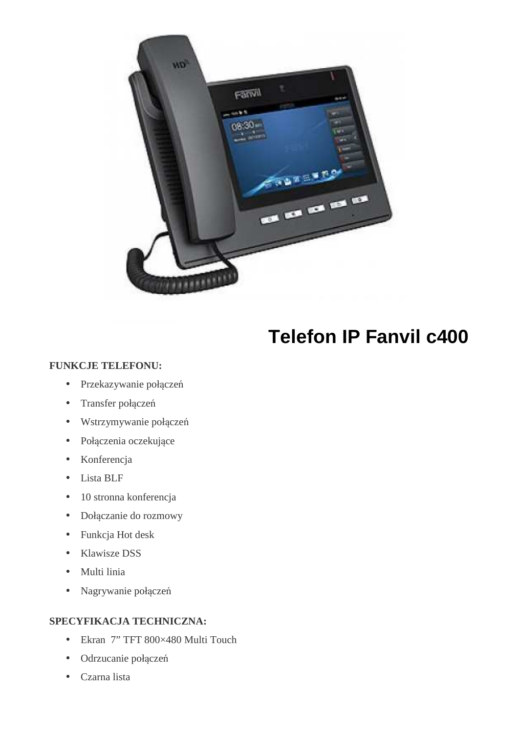

# **Telefon IP Fanvil c400**

#### **FUNKCJE TELEFONU:**

- Przekazywanie połączeń
- Transfer połączeń
- Wstrzymywanie połączeń
- Połączenia oczekujące
- Konferencja
- Lista BLF
- 10 stronna konferencja
- Dołączanie do rozmowy
- Funkcja Hot desk
- Klawisze DSS
- Multi linia
- Nagrywanie połączeń

#### **SPECYFIKACJA TECHNICZNA:**

- Ekran 7" TFT 800×480 Multi Touch
- Odrzucanie połączeń
- Czarna lista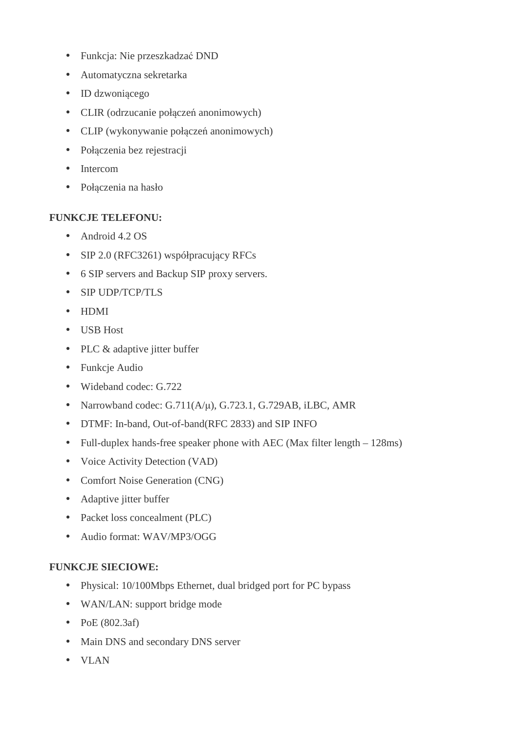- Funkcja: Nie przeszkadzać DND
- Automatyczna sekretarka
- ID dzwoniącego
- CLIR (odrzucanie połączeń anonimowych)
- CLIP (wykonywanie połączeń anonimowych)
- Połączenia bez rejestracji
- Intercom
- Połączenia na hasło

### **FUNKCJE TELEFONU:**

- Android 4.2 OS
- SIP 2.0 (RFC3261) współpracujący RFCs
- 6 SIP servers and Backup SIP proxy servers.
- SIP UDP/TCP/TLS
- HDMI
- USB Host
- PLC & adaptive jitter buffer
- Funkcje Audio
- Wideband codec: G.722
- Narrowband codec:  $G.711(A/u)$ ,  $G.723.1$ ,  $G.729AB$ , iLBC, AMR
- DTMF: In-band, Out-of-band(RFC 2833) and SIP INFO
- Full-duplex hands-free speaker phone with AEC (Max filter length 128ms)
- Voice Activity Detection (VAD)
- Comfort Noise Generation (CNG)
- Adaptive jitter buffer
- Packet loss concealment (PLC)
- Audio format: WAV/MP3/OGG

### **FUNKCJE SIECIOWE:**

- Physical: 10/100Mbps Ethernet, dual bridged port for PC bypass
- WAN/LAN: support bridge mode
- PoE (802.3af)
- Main DNS and secondary DNS server
- VLAN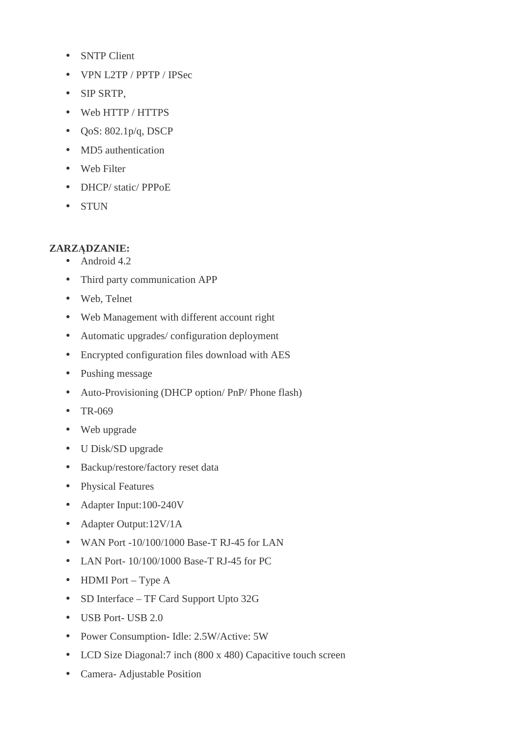- SNTP Client
- VPN L2TP / PPTP / IPSec
- SIP SRTP,
- Web HTTP / HTTPS
- $\bullet$  QoS: 802.1p/q, DSCP
- MD5 authentication
- Web Filter
- DHCP/ static/ PPPoE
- STUN

## **ZARZĄDZANIE:**

- Android 4.2
- Third party communication APP
- Web, Telnet
- Web Management with different account right
- Automatic upgrades/ configuration deployment
- Encrypted configuration files download with AES
- Pushing message
- Auto-Provisioning (DHCP option/ PnP/ Phone flash)
- TR-069
- Web upgrade
- U Disk/SD upgrade
- Backup/restore/factory reset data
- Physical Features
- Adapter Input:100-240V
- Adapter Output:12V/1A
- WAN Port -10/100/1000 Base-T RJ-45 for LAN
- LAN Port-  $10/100/1000$  Base-T RJ-45 for PC
- HDMI Port Type  $A$
- SD Interface TF Card Support Upto 32G
- USB Port- USB 2.0
- Power Consumption- Idle: 2.5W/Active: 5W
- LCD Size Diagonal:7 inch (800 x 480) Capacitive touch screen
- Camera- Adjustable Position